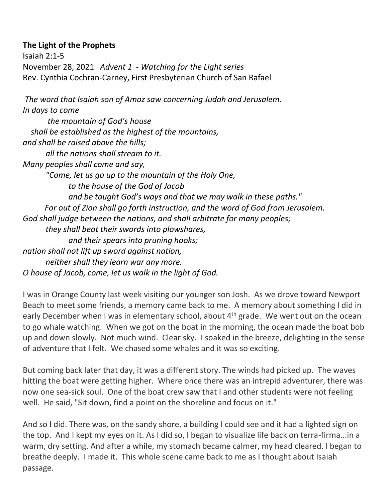## **The Light of the Prophets**

Isaiah 2:1-5 November 28, 2021 *Advent 1 - Watching for the Light series* Rev. Cynthia Cochran-Carney, First Presbyterian Church of San Rafael

*The word that Isaiah son of Amoz saw concerning Judah and Jerusalem. In days to come the mountain of God's house shall be established as the highest of the mountains, and shall be raised above the hills; all the nations shall stream to it. Many peoples shall come and say, "Come, let us go up to the mountain of the Holy One, to the house of the God of Jacob and be taught God's ways and that we may walk in these paths." For out of Zion shall go forth instruction, and the word of God from Jerusalem. God shall judge between the nations, and shall arbitrate for many peoples; they shall beat their swords into plowshares, and their spears into pruning hooks; nation shall not lift up sword against nation, neither shall they learn war any more. O house of Jacob, come, let us walk in the light of God.*

I was in Orange County last week visiting our younger son Josh. As we drove toward Newport Beach to meet some friends, a memory came back to me. A memory about something I did in early December when I was in elementary school, about 4<sup>th</sup> grade. We went out on the ocean to go whale watching. When we got on the boat in the morning, the ocean made the boat bob up and down slowly. Not much wind. Clear sky. I soaked in the breeze, delighting in the sense of adventure that I felt. We chased some whales and it was so exciting.

But coming back later that day, it was a different story. The winds had picked up. The waves hitting the boat were getting higher. Where once there was an intrepid adventurer, there was now one sea-sick soul. One of the boat crew saw that I and other students were not feeling well. He said, "Sit down, find a point on the shoreline and focus on it."

And so I did. There was, on the sandy shore, a building I could see and it had a lighted sign on the top. And I kept my eyes on it. As I did so, I began to visualize life back on terra-firma...in a warm, dry setting. And after a while, my stomach became calmer, my head cleared. I began to breathe deeply. I made it. This whole scene came back to me as I thought about Isaiah passage.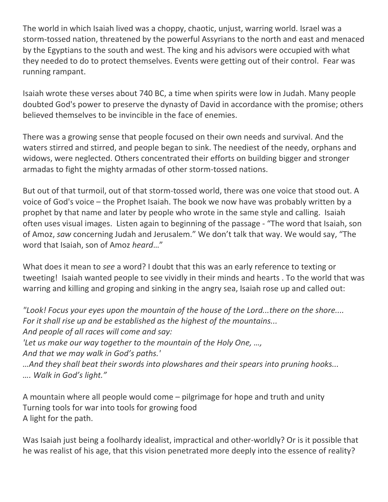The world in which Isaiah lived was a choppy, chaotic, unjust, warring world. Israel was a storm-tossed nation, threatened by the powerful Assyrians to the north and east and menaced by the Egyptians to the south and west. The king and his advisors were occupied with what they needed to do to protect themselves. Events were getting out of their control. Fear was running rampant.

Isaiah wrote these verses about 740 BC, a time when spirits were low in Judah. Many people doubted God's power to preserve the dynasty of David in accordance with the promise; others believed themselves to be invincible in the face of enemies.

There was a growing sense that people focused on their own needs and survival. And the waters stirred and stirred, and people began to sink. The neediest of the needy, orphans and widows, were neglected. Others concentrated their efforts on building bigger and stronger armadas to fight the mighty armadas of other storm-tossed nations.

But out of that turmoil, out of that storm-tossed world, there was one voice that stood out. A voice of God's voice – the Prophet Isaiah. The book we now have was probably written by a prophet by that name and later by people who wrote in the same style and calling. Isaiah often uses visual images. Listen again to beginning of the passage - "The word that Isaiah, son of Amoz, *saw* concerning Judah and Jerusalem." We don't talk that way. We would say, "The word that Isaiah, son of Amoz *heard*…"

What does it mean to *see* a word? I doubt that this was an early reference to texting or tweeting! Isaiah wanted people to see vividly in their minds and hearts . To the world that was warring and killing and groping and sinking in the angry sea, Isaiah rose up and called out:

*"Look! Focus your eyes upon the mountain of the house of the Lord...there on the shore.... For it shall rise up and be established as the highest of the mountains... And people of all races will come and say: 'Let us make our way together to the mountain of the Holy One, …, And that we may walk in God's paths.' …And they shall beat their swords into plowshares and their spears into pruning hooks... …. Walk in God's light."*

A mountain where all people would come – pilgrimage for hope and truth and unity Turning tools for war into tools for growing food A light for the path.

Was Isaiah just being a foolhardy idealist, impractical and other-worldly? Or is it possible that he was realist of his age, that this vision penetrated more deeply into the essence of reality?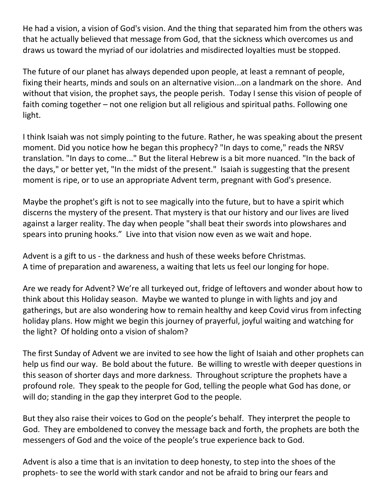He had a vision, a vision of God's vision. And the thing that separated him from the others was that he actually believed that message from God, that the sickness which overcomes us and draws us toward the myriad of our idolatries and misdirected loyalties must be stopped.

The future of our planet has always depended upon people, at least a remnant of people, fixing their hearts, minds and souls on an alternative vision...on a landmark on the shore. And without that vision, the prophet says, the people perish. Today I sense this vision of people of faith coming together – not one religion but all religious and spiritual paths. Following one light.

I think Isaiah was not simply pointing to the future. Rather, he was speaking about the present moment. Did you notice how he began this prophecy? "In days to come," reads the NRSV translation. "In days to come..." But the literal Hebrew is a bit more nuanced. "In the back of the days," or better yet, "In the midst of the present." Isaiah is suggesting that the present moment is ripe, or to use an appropriate Advent term, pregnant with God's presence.

Maybe the prophet's gift is not to see magically into the future, but to have a spirit which discerns the mystery of the present. That mystery is that our history and our lives are lived against a larger reality. The day when people "shall beat their swords into plowshares and spears into pruning hooks." Live into that vision now even as we wait and hope.

Advent is a gift to us - the darkness and hush of these weeks before Christmas. A time of preparation and awareness, a waiting that lets us feel our longing for hope.

Are we ready for Advent? We're all turkeyed out, fridge of leftovers and wonder about how to think about this Holiday season. Maybe we wanted to plunge in with lights and joy and gatherings, but are also wondering how to remain healthy and keep Covid virus from infecting holiday plans. How might we begin this journey of prayerful, joyful waiting and watching for the light? Of holding onto a vision of shalom?

The first Sunday of Advent we are invited to see how the light of Isaiah and other prophets can help us find our way. Be bold about the future. Be willing to wrestle with deeper questions in this season of shorter days and more darkness. Throughout scripture the prophets have a profound role. They speak to the people for God, telling the people what God has done, or will do; standing in the gap they interpret God to the people.

But they also raise their voices to God on the people's behalf. They interpret the people to God. They are emboldened to convey the message back and forth, the prophets are both the messengers of God and the voice of the people's true experience back to God.

Advent is also a time that is an invitation to deep honesty, to step into the shoes of the prophets- to see the world with stark candor and not be afraid to bring our fears and